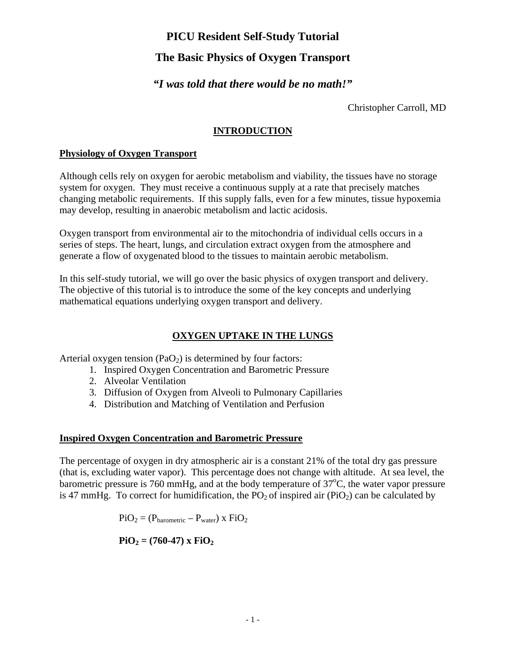# **The Basic Physics of Oxygen Transport**

## *"I was told that there would be no math!"*

Christopher Carroll, MD

### **INTRODUCTION**

#### **Physiology of Oxygen Transport**

Although cells rely on oxygen for aerobic metabolism and viability, the tissues have no storage system for oxygen. They must receive a continuous supply at a rate that precisely matches changing metabolic requirements. If this supply falls, even for a few minutes, tissue hypoxemia may develop, resulting in anaerobic metabolism and lactic acidosis.

Oxygen transport from environmental air to the mitochondria of individual cells occurs in a series of steps. The heart, lungs, and circulation extract oxygen from the atmosphere and generate a flow of oxygenated blood to the tissues to maintain aerobic metabolism.

In this self-study tutorial, we will go over the basic physics of oxygen transport and delivery. The objective of this tutorial is to introduce the some of the key concepts and underlying mathematical equations underlying oxygen transport and delivery.

## **OXYGEN UPTAKE IN THE LUNGS**

Arterial oxygen tension  $(PaO<sub>2</sub>)$  is determined by four factors:

- 1. Inspired Oxygen Concentration and Barometric Pressure
- 2. Alveolar Ventilation
- 3. Diffusion of Oxygen from Alveoli to Pulmonary Capillaries
- 4. Distribution and Matching of Ventilation and Perfusion

### **Inspired Oxygen Concentration and Barometric Pressure**

The percentage of oxygen in dry atmospheric air is a constant 21% of the total dry gas pressure (that is, excluding water vapor). This percentage does not change with altitude. At sea level, the barometric pressure is 760 mmHg, and at the body temperature of  $37^{\circ}$ C, the water vapor pressure is 47 mmHg. To correct for humidification, the  $PO<sub>2</sub>$  of inspired air (PiO<sub>2</sub>) can be calculated by

 $\text{PiO}_2 = (\text{P}_{\text{barometric}} - \text{P}_{\text{water}}) \times \text{FiO}_2$ 

 $\mathbf{PiO}_2 = (760-47) \times \mathbf{FiO}_2$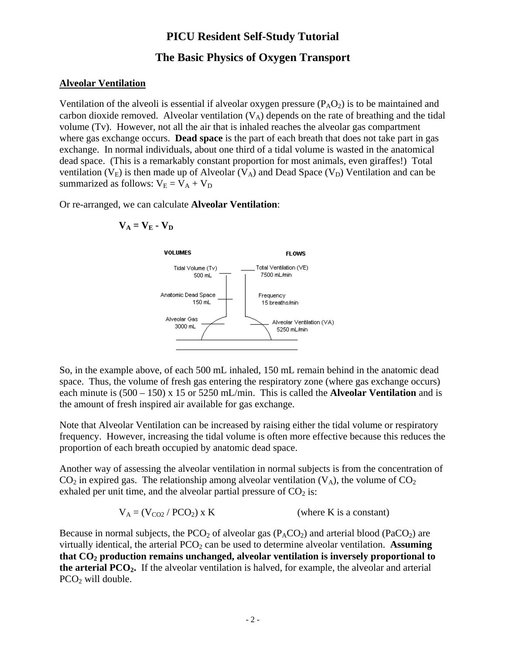## **The Basic Physics of Oxygen Transport**

#### **Alveolar Ventilation**

Ventilation of the alveoli is essential if alveolar oxygen pressure  $(P_A O_2)$  is to be maintained and carbon dioxide removed. Alveolar ventilation  $(V_A)$  depends on the rate of breathing and the tidal volume (Tv). However, not all the air that is inhaled reaches the alveolar gas compartment where gas exchange occurs. **Dead space** is the part of each breath that does not take part in gas exchange. In normal individuals, about one third of a tidal volume is wasted in the anatomical dead space. (This is a remarkably constant proportion for most animals, even giraffes!) Total ventilation ( $V_E$ ) is then made up of Alveolar ( $V_A$ ) and Dead Space ( $V_D$ ) Ventilation and can be summarized as follows:  $V_E = V_A + V_D$ 

Or re-arranged, we can calculate **Alveolar Ventilation**:

$$
V_A = V_E - V_D
$$



So, in the example above, of each 500 mL inhaled, 150 mL remain behind in the anatomic dead space. Thus, the volume of fresh gas entering the respiratory zone (where gas exchange occurs) each minute is (500 – 150) x 15 or 5250 mL/min. This is called the **Alveolar Ventilation** and is the amount of fresh inspired air available for gas exchange.

Note that Alveolar Ventilation can be increased by raising either the tidal volume or respiratory frequency. However, increasing the tidal volume is often more effective because this reduces the proportion of each breath occupied by anatomic dead space.

Another way of assessing the alveolar ventilation in normal subjects is from the concentration of  $CO<sub>2</sub>$  in expired gas. The relationship among alveolar ventilation (V<sub>A</sub>), the volume of  $CO<sub>2</sub>$ exhaled per unit time, and the alveolar partial pressure of  $CO<sub>2</sub>$  is:

$$
V_A = (V_{CO2} / PCO_2) \times K
$$
 (where K is a constant)

Because in normal subjects, the PCO<sub>2</sub> of alveolar gas  $(P_ACO_2)$  and arterial blood (PaCO<sub>2</sub>) are virtually identical, the arterial  $PCO<sub>2</sub>$  can be used to determine alveolar ventilation. Assuming **that CO2 production remains unchanged, alveolar ventilation is inversely proportional to the arterial PCO2.** If the alveolar ventilation is halved, for example, the alveolar and arterial  $PCO<sub>2</sub>$  will double.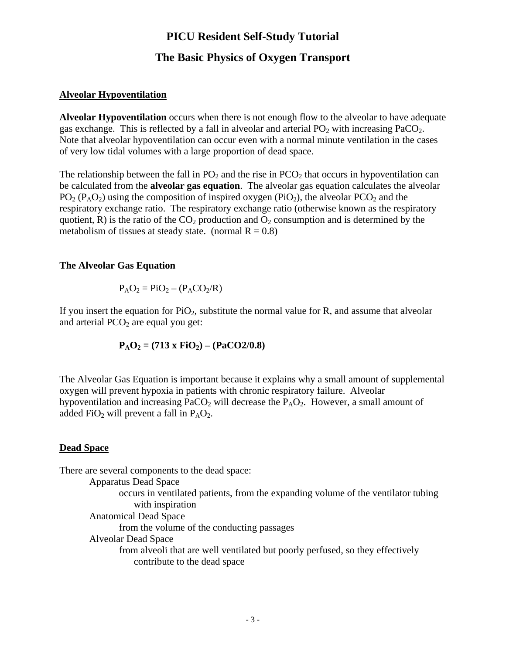## **The Basic Physics of Oxygen Transport**

### **Alveolar Hypoventilation**

**Alveolar Hypoventilation** occurs when there is not enough flow to the alveolar to have adequate gas exchange. This is reflected by a fall in alveolar and arterial  $PO<sub>2</sub>$  with increasing PaCO<sub>2</sub>. Note that alveolar hypoventilation can occur even with a normal minute ventilation in the cases of very low tidal volumes with a large proportion of dead space.

The relationship between the fall in  $PO_2$  and the rise in  $PCO_2$  that occurs in hypoventilation can be calculated from the **alveolar gas equation**. The alveolar gas equation calculates the alveolar  $PO_2 (P_A O_2)$  using the composition of inspired oxygen (PiO<sub>2</sub>), the alveolar  $PCO_2$  and the respiratory exchange ratio. The respiratory exchange ratio (otherwise known as the respiratory quotient, R) is the ratio of the  $CO<sub>2</sub>$  production and  $O<sub>2</sub>$  consumption and is determined by the metabolism of tissues at steady state. (normal  $R = 0.8$ )

#### **The Alveolar Gas Equation**

$$
P_A O_2 = P i O_2 - (P_A CO_2/R)
$$

If you insert the equation for  $P_1O_2$ , substitute the normal value for R, and assume that alveolar and arterial  $PCO<sub>2</sub>$  are equal you get:

$$
P_A O_2 = (713 \times FiO_2) - (PaCO2/0.8)
$$

The Alveolar Gas Equation is important because it explains why a small amount of supplemental oxygen will prevent hypoxia in patients with chronic respiratory failure. Alveolar hypoventilation and increasing  $PaCO<sub>2</sub>$  will decrease the  $P<sub>A</sub>O<sub>2</sub>$ . However, a small amount of added FiO<sub>2</sub> will prevent a fall in  $P_AO_2$ .

### **Dead Space**

There are several components to the dead space:

Apparatus Dead Space occurs in ventilated patients, from the expanding volume of the ventilator tubing with inspiration Anatomical Dead Space from the volume of the conducting passages Alveolar Dead Space from alveoli that are well ventilated but poorly perfused, so they effectively contribute to the dead space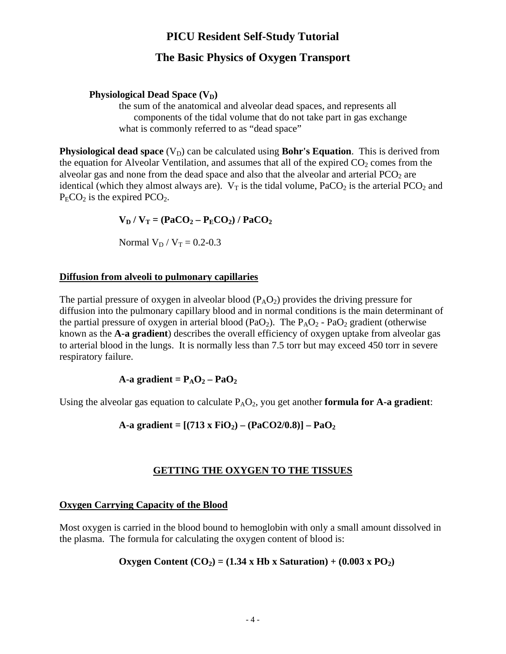# **The Basic Physics of Oxygen Transport**

### **Physiological Dead Space (V<sub>D</sub>)**

the sum of the anatomical and alveolar dead spaces, and represents all components of the tidal volume that do not take part in gas exchange what is commonly referred to as "dead space"

**Physiological dead space**  $(V_D)$  can be calculated using **Bohr's Equation**. This is derived from the equation for Alveolar Ventilation, and assumes that all of the expired  $CO<sub>2</sub>$  comes from the alveolar gas and none from the dead space and also that the alveolar and arterial  $PCO<sub>2</sub>$  are identical (which they almost always are).  $V_T$  is the tidal volume, PaCO<sub>2</sub> is the arterial PCO<sub>2</sub> and  $P<sub>E</sub>CO<sub>2</sub>$  is the expired PCO<sub>2</sub>.

 $V_D / V_T = (PaCO_2 - P_ECO_2) / PaCO_2$ 

Normal  $V_D / V_T = 0.2 - 0.3$ 

### **Diffusion from alveoli to pulmonary capillaries**

The partial pressure of oxygen in alveolar blood  $(P_A O_2)$  provides the driving pressure for diffusion into the pulmonary capillary blood and in normal conditions is the main determinant of the partial pressure of oxygen in arterial blood (PaO<sub>2</sub>). The  $P_AO_2$  - PaO<sub>2</sub> gradient (otherwise known as the **A-a gradient**) describes the overall efficiency of oxygen uptake from alveolar gas to arterial blood in the lungs. It is normally less than 7.5 torr but may exceed 450 torr in severe respiratory failure.

### $A-a$  gradient =  $P_AO_2 - PaO_2$

Using the alveolar gas equation to calculate  $P_AO_2$ , you get another **formula for A-a gradient**:

A-a gradient =  $[(713 \times FiO<sub>2</sub>) - (PaCO<sub>2</sub>/0.8)] - PaO<sub>2</sub>$ 

### **GETTING THE OXYGEN TO THE TISSUES**

### **Oxygen Carrying Capacity of the Blood**

Most oxygen is carried in the blood bound to hemoglobin with only a small amount dissolved in the plasma. The formula for calculating the oxygen content of blood is:

### Oxygen Content  $(CO_2) = (1.34 \times Hb \times Saturation) + (0.003 \times PO_2)$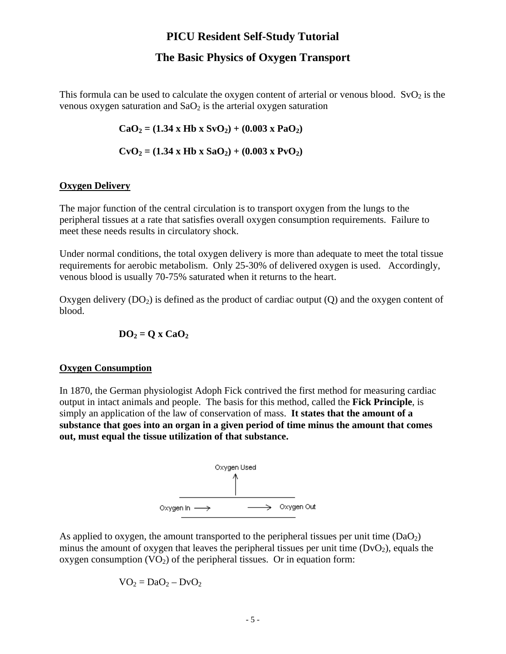## **The Basic Physics of Oxygen Transport**

This formula can be used to calculate the oxygen content of arterial or venous blood.  $SvO<sub>2</sub>$  is the venous oxygen saturation and  $SaO<sub>2</sub>$  is the arterial oxygen saturation

 $CaO<sub>2</sub> = (1.34 \times Hb \times SvO<sub>2</sub>) + (0.003 \times PaO<sub>2</sub>)$ 

 $CvO_2 = (1.34 \times Hb \times SaO_2) + (0.003 \times PvO_2)$ 

#### **Oxygen Delivery**

The major function of the central circulation is to transport oxygen from the lungs to the peripheral tissues at a rate that satisfies overall oxygen consumption requirements. Failure to meet these needs results in circulatory shock.

Under normal conditions, the total oxygen delivery is more than adequate to meet the total tissue requirements for aerobic metabolism. Only 25-30% of delivered oxygen is used. Accordingly, venous blood is usually 70-75% saturated when it returns to the heart.

Oxygen delivery  $(DO_2)$  is defined as the product of cardiac output  $(Q)$  and the oxygen content of blood.

$$
\mathbf{DO}_2 = \mathbf{Q} \times \mathbf{CaO}_2
$$

#### **Oxygen Consumption**

In 1870, the German physiologist Adoph Fick contrived the first method for measuring cardiac output in intact animals and people. The basis for this method, called the **Fick Principle**, is simply an application of the law of conservation of mass. **It states that the amount of a substance that goes into an organ in a given period of time minus the amount that comes out, must equal the tissue utilization of that substance.** 



As applied to oxygen, the amount transported to the peripheral tissues per unit time  $(DaO<sub>2</sub>)$ minus the amount of oxygen that leaves the peripheral tissues per unit time  $(DvO<sub>2</sub>)$ , equals the oxygen consumption  $(VO<sub>2</sub>)$  of the peripheral tissues. Or in equation form:

 $VO<sub>2</sub> = DaO<sub>2</sub> - DvO<sub>2</sub>$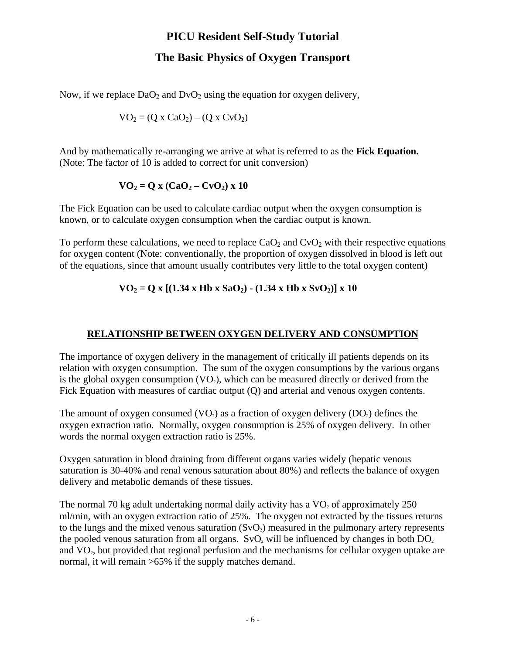## **The Basic Physics of Oxygen Transport**

Now, if we replace  $DaO<sub>2</sub>$  and  $D<sub>Y</sub>O<sub>2</sub>$  using the equation for oxygen delivery,

$$
VO2 = (Q x CaO2) – (Q x CvO2)
$$

And by mathematically re-arranging we arrive at what is referred to as the **Fick Equation.**  (Note: The factor of 10 is added to correct for unit conversion)

$$
VO_2 = Q x (CaO_2 - CvO_2) x 10
$$

The Fick Equation can be used to calculate cardiac output when the oxygen consumption is known, or to calculate oxygen consumption when the cardiac output is known.

To perform these calculations, we need to replace  $CaO<sub>2</sub>$  and  $C<sub>2</sub>O<sub>2</sub>$  with their respective equations for oxygen content (Note: conventionally, the proportion of oxygen dissolved in blood is left out of the equations, since that amount usually contributes very little to the total oxygen content)

### $VO_2 = Q x [(1.34 \times Hb \times SaO_2) - (1.34 \times Hb \times SvO_2)] x 10$

### **RELATIONSHIP BETWEEN OXYGEN DELIVERY AND CONSUMPTION**

The importance of oxygen delivery in the management of critically ill patients depends on its relation with oxygen consumption. The sum of the oxygen consumptions by the various organs is the global oxygen consumption  $(VO_2)$ , which can be measured directly or derived from the Fick Equation with measures of cardiac output (Q) and arterial and venous oxygen contents.

The amount of oxygen consumed  $(VO_2)$  as a fraction of oxygen delivery  $(DO_2)$  defines the oxygen extraction ratio. Normally, oxygen consumption is 25% of oxygen delivery. In other words the normal oxygen extraction ratio is 25%.

Oxygen saturation in blood draining from different organs varies widely (hepatic venous saturation is 30-40% and renal venous saturation about 80%) and reflects the balance of oxygen delivery and metabolic demands of these tissues.

The normal 70 kg adult undertaking normal daily activity has a  $VO<sub>2</sub>$  of approximately 250 ml/min, with an oxygen extraction ratio of 25%. The oxygen not extracted by the tissues returns to the lungs and the mixed venous saturation  $(SvO<sub>2</sub>)$  measured in the pulmonary artery represents the pooled venous saturation from all organs.  $SvO<sub>2</sub>$  will be influenced by changes in both  $DO<sub>2</sub>$ and  $VO<sub>2</sub>$ , but provided that regional perfusion and the mechanisms for cellular oxygen uptake are normal, it will remain  $>65\%$  if the supply matches demand.